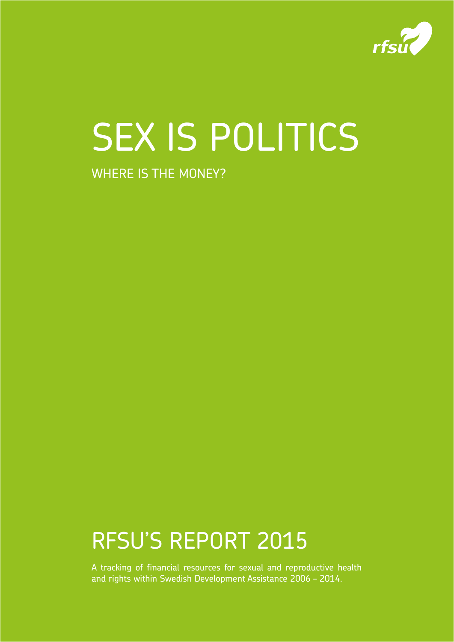

# SEX IS POLITICS

# WHERE IS THE MONEY?

RFSU'S REPORT 2015

A tracking of financial resources for sexual and reproductive health and rights within Swedish Development Assistance 2006 – 2014.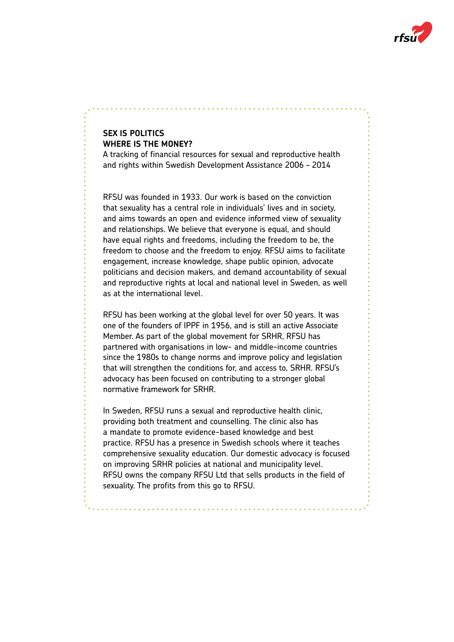

# **SEX IS POLITICS WHERE IS THE MONEY?**

A tracking of financial resources for sexual and reproductive health and rights within Swedish Development Assistance 2006 – 2014

RFSU was founded in 1933. Our work is based on the conviction that sexuality has a central role in individuals' lives and in society, and aims towards an open and evidence informed view of sexuality and relationships. We believe that everyone is equal, and should have equal rights and freedoms, including the freedom to be, the freedom to choose and the freedom to enjoy. RFSU aims to facilitate engagement, increase knowledge, shape public opinion, advocate politicians and decision makers, and demand accountability of sexual and reproductive rights at local and national level in Sweden, as well as at the international level.

RFSU has been working at the global level for over 50 years. It was one of the founders of IPPF in 1956, and is still an active Associate Member. As part of the global movement for SRHR, RFSU has partnered with organisations in low- and middle-income countries since the 1980s to change norms and improve policy and legislation that will strengthen the conditions for, and access to, SRHR. RFSU's advocacy has been focused on contributing to a stronger global normative framework for SRHR.

In Sweden, RFSU runs a sexual and reproductive health clinic, providing both treatment and counselling. The clinic also has a mandate to promote evidence-based knowledge and best practice. RFSU has a presence in Swedish schools where it teaches comprehensive sexuality education. Our domestic advocacy is focused on improving SRHR policies at national and municipality level. RFSU owns the company RFSU Ltd that sells products in the field of sexuality. The profits from this go to RFSU.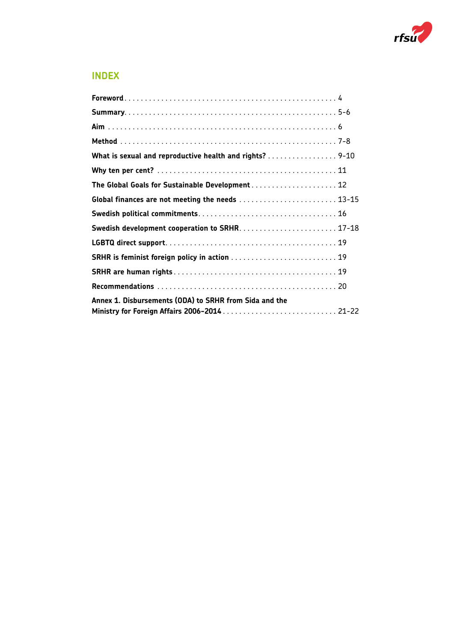

# **INDEX**

| What is sexual and reproductive health and rights? 9-10 |  |
|---------------------------------------------------------|--|
|                                                         |  |
| The Global Goals for Sustainable Development 12         |  |
| Global finances are not meeting the needs  13-15        |  |
|                                                         |  |
|                                                         |  |
|                                                         |  |
|                                                         |  |
|                                                         |  |
|                                                         |  |
| Annex 1. Disbursements (ODA) to SRHR from Sida and the  |  |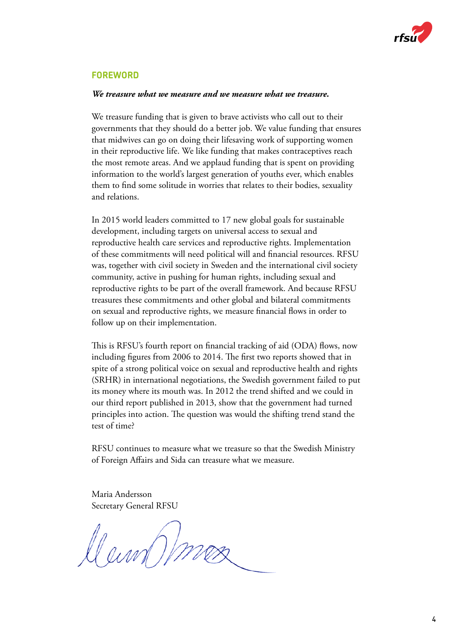

### **FOREWORD**

#### *We treasure what we measure and we measure what we treasure.*

We treasure funding that is given to brave activists who call out to their governments that they should do a better job. We value funding that ensures that midwives can go on doing their lifesaving work of supporting women in their reproductive life. We like funding that makes contraceptives reach the most remote areas. And we applaud funding that is spent on providing information to the world's largest generation of youths ever, which enables them to find some solitude in worries that relates to their bodies, sexuality and relations.

In 2015 world leaders committed to 17 new global goals for sustainable development, including targets on universal access to sexual and reproductive health care services and reproductive rights. Implementation of these commitments will need political will and financial resources. RFSU was, together with civil society in Sweden and the international civil society community, active in pushing for human rights, including sexual and reproductive rights to be part of the overall framework. And because RFSU treasures these commitments and other global and bilateral commitments on sexual and reproductive rights, we measure financial flows in order to follow up on their implementation.

This is RFSU's fourth report on financial tracking of aid (ODA) flows, now including figures from 2006 to 2014. The first two reports showed that in spite of a strong political voice on sexual and reproductive health and rights (SRHR) in international negotiations, the Swedish government failed to put its money where its mouth was. In 2012 the trend shifted and we could in our third report published in 2013, show that the government had turned principles into action. The question was would the shifting trend stand the test of time?

RFSU continues to measure what we treasure so that the Swedish Ministry of Foreign Affairs and Sida can treasure what we measure.

Maria Andersson Secretary General RFSU

Dan Ome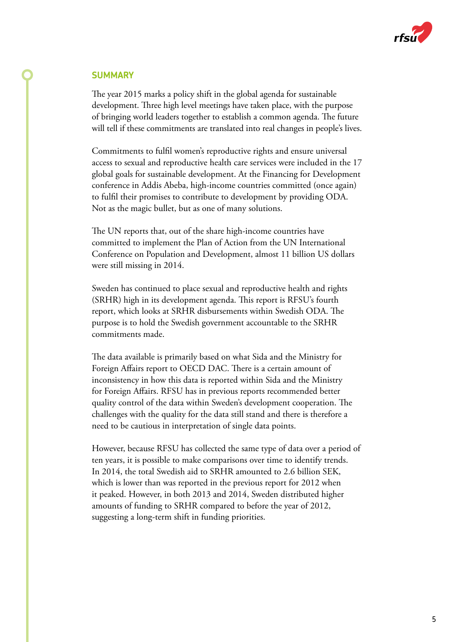

#### **SUMMARY**

The year 2015 marks a policy shift in the global agenda for sustainable development. Three high level meetings have taken place, with the purpose of bringing world leaders together to establish a common agenda. The future will tell if these commitments are translated into real changes in people's lives.

Commitments to fulfil women's reproductive rights and ensure universal access to sexual and reproductive health care services were included in the 17 global goals for sustainable development. At the Financing for Development conference in Addis Abeba, high-income countries committed (once again) to fulfil their promises to contribute to development by providing ODA. Not as the magic bullet, but as one of many solutions.

The UN reports that, out of the share high-income countries have committed to implement the Plan of Action from the UN International Conference on Population and Development, almost 11 billion US dollars were still missing in 2014.

Sweden has continued to place sexual and reproductive health and rights (SRHR) high in its development agenda. This report is RFSU's fourth report, which looks at SRHR disbursements within Swedish ODA. The purpose is to hold the Swedish government accountable to the SRHR commitments made.

The data available is primarily based on what Sida and the Ministry for Foreign Affairs report to OECD DAC. There is a certain amount of inconsistency in how this data is reported within Sida and the Ministry for Foreign Affairs. RFSU has in previous reports recommended better quality control of the data within Sweden's development cooperation. The challenges with the quality for the data still stand and there is therefore a need to be cautious in interpretation of single data points.

However, because RFSU has collected the same type of data over a period of ten years, it is possible to make comparisons over time to identify trends. In 2014, the total Swedish aid to SRHR amounted to 2.6 billion SEK, which is lower than was reported in the previous report for 2012 when it peaked. However, in both 2013 and 2014, Sweden distributed higher amounts of funding to SRHR compared to before the year of 2012, suggesting a long-term shift in funding priorities.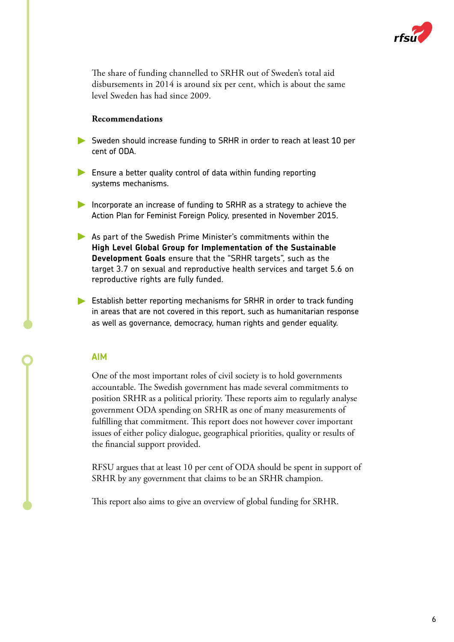

The share of funding channelled to SRHR out of Sweden's total aid disbursements in 2014 is around six per cent, which is about the same level Sweden has had since 2009.

#### **Recommendations**

- Sweden should increase funding to SRHR in order to reach at least 10 per cent of ODA.
- Ensure a better quality control of data within funding reporting systems mechanisms.
- Incorporate an increase of funding to SRHR as a strategy to achieve the Action Plan for Feminist Foreign Policy, presented in November 2015.
- As part of the Swedish Prime Minister's commitments within the **High Level Global Group for Implementation of the Sustainable Development Goals** ensure that the "SRHR targets", such as the target 3.7 on sexual and reproductive health services and target 5.6 on reproductive rights are fully funded.
- Establish better reporting mechanisms for SRHR in order to track funding in areas that are not covered in this report, such as humanitarian response as well as governance, democracy, human rights and gender equality.

#### **AIM**

One of the most important roles of civil society is to hold governments accountable. The Swedish government has made several commitments to position SRHR as a political priority. These reports aim to regularly analyse government ODA spending on SRHR as one of many measurements of fulfilling that commitment. This report does not however cover important issues of either policy dialogue, geographical priorities, quality or results of the financial support provided.

RFSU argues that at least 10 per cent of ODA should be spent in support of SRHR by any government that claims to be an SRHR champion.

This report also aims to give an overview of global funding for SRHR.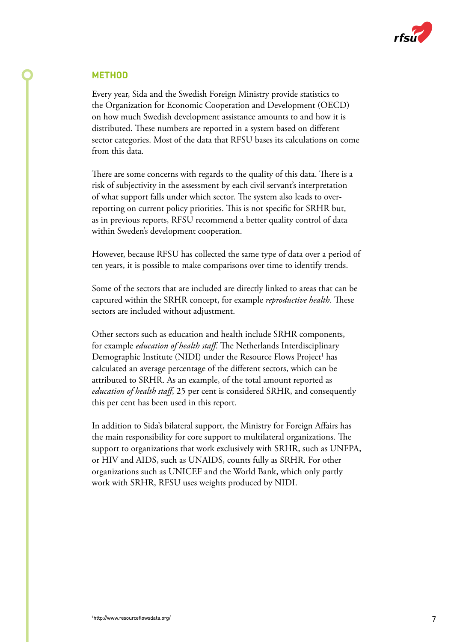

#### **METHOD**

Every year, Sida and the Swedish Foreign Ministry provide statistics to the Organization for Economic Cooperation and Development (OECD) on how much Swedish development assistance amounts to and how it is distributed. These numbers are reported in a system based on different sector categories. Most of the data that RFSU bases its calculations on come from this data.

There are some concerns with regards to the quality of this data. There is a risk of subjectivity in the assessment by each civil servant's interpretation of what support falls under which sector. The system also leads to overreporting on current policy priorities. This is not specific for SRHR but, as in previous reports, RFSU recommend a better quality control of data within Sweden's development cooperation.

However, because RFSU has collected the same type of data over a period of ten years, it is possible to make comparisons over time to identify trends.

Some of the sectors that are included are directly linked to areas that can be captured within the SRHR concept, for example *reproductive health*. These sectors are included without adjustment.

Other sectors such as education and health include SRHR components, for example *education of health staff*. The Netherlands Interdisciplinary Demographic Institute (NIDI) under the Resource Flows Project<sup>1</sup> has calculated an average percentage of the different sectors, which can be attributed to SRHR. As an example, of the total amount reported as *education of health staff*, 25 per cent is considered SRHR, and consequently this per cent has been used in this report.

In addition to Sida's bilateral support, the Ministry for Foreign Affairs has the main responsibility for core support to multilateral organizations. The support to organizations that work exclusively with SRHR, such as UNFPA, or HIV and AIDS, such as UNAIDS, counts fully as SRHR. For other organizations such as UNICEF and the World Bank, which only partly work with SRHR, RFSU uses weights produced by NIDI.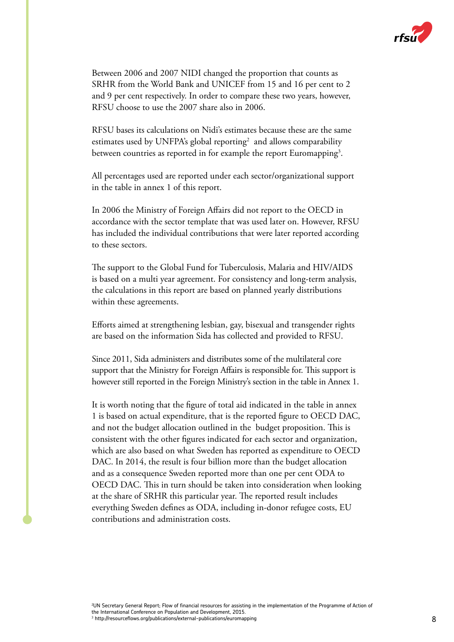

Between 2006 and 2007 NIDI changed the proportion that counts as SRHR from the World Bank and UNICEF from 15 and 16 per cent to 2 and 9 per cent respectively. In order to compare these two years, however, RFSU choose to use the 2007 share also in 2006.

RFSU bases its calculations on Nidi's estimates because these are the same estimates used by UNFPA's global reporting<sup>2</sup> and allows comparability between countries as reported in for example the report Euromapping<sup>3</sup>.

All percentages used are reported under each sector/organizational support in the table in annex 1 of this report.

In 2006 the Ministry of Foreign Affairs did not report to the OECD in accordance with the sector template that was used later on. However, RFSU has included the individual contributions that were later reported according to these sectors.

The support to the Global Fund for Tuberculosis, Malaria and HIV/AIDS is based on a multi year agreement. For consistency and long-term analysis, the calculations in this report are based on planned yearly distributions within these agreements.

Efforts aimed at strengthening lesbian, gay, bisexual and transgender rights are based on the information Sida has collected and provided to RFSU.

Since 2011, Sida administers and distributes some of the multilateral core support that the Ministry for Foreign Affairs is responsible for. This support is however still reported in the Foreign Ministry's section in the table in Annex 1.

It is worth noting that the figure of total aid indicated in the table in annex 1 is based on actual expenditure, that is the reported figure to OECD DAC, and not the budget allocation outlined in the budget proposition. This is consistent with the other figures indicated for each sector and organization, which are also based on what Sweden has reported as expenditure to OECD DAC. In 2014, the result is four billion more than the budget allocation and as a consequence Sweden reported more than one per cent ODA to OECD DAC. This in turn should be taken into consideration when looking at the share of SRHR this particular year. The reported result includes everything Sweden defines as ODA, including in-donor refugee costs, EU contributions and administration costs.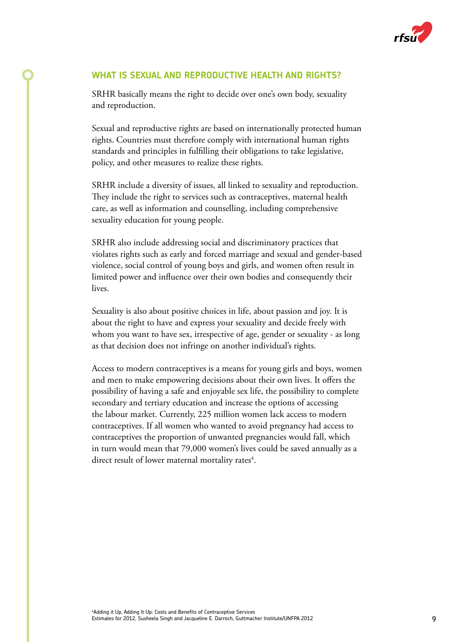

# **WHAT IS SEXUAL AND REPRODUCTIVE HEALTH AND RIGHTS?**

SRHR basically means the right to decide over one's own body, sexuality and reproduction.

Sexual and reproductive rights are based on internationally protected human rights. Countries must therefore comply with international human rights standards and principles in fulfilling their obligations to take legislative, policy, and other measures to realize these rights.

SRHR include a diversity of issues, all linked to sexuality and reproduction. They include the right to services such as contraceptives, maternal health care, as well as information and counselling, including comprehensive sexuality education for young people.

SRHR also include addressing social and discriminatory practices that violates rights such as early and forced marriage and sexual and gender-based violence, social control of young boys and girls, and women often result in limited power and influence over their own bodies and consequently their lives.

Sexuality is also about positive choices in life, about passion and joy. It is about the right to have and express your sexuality and decide freely with whom you want to have sex, irrespective of age, gender or sexuality - as long as that decision does not infringe on another individual's rights.

Access to modern contraceptives is a means for young girls and boys, women and men to make empowering decisions about their own lives. It offers the possibility of having a safe and enjoyable sex life, the possibility to complete secondary and tertiary education and increase the options of accessing the labour market. Currently, 225 million women lack access to modern contraceptives. If all women who wanted to avoid pregnancy had access to contraceptives the proportion of unwanted pregnancies would fall, which in turn would mean that 79,000 women's lives could be saved annually as a direct result of lower maternal mortality rates $4$ .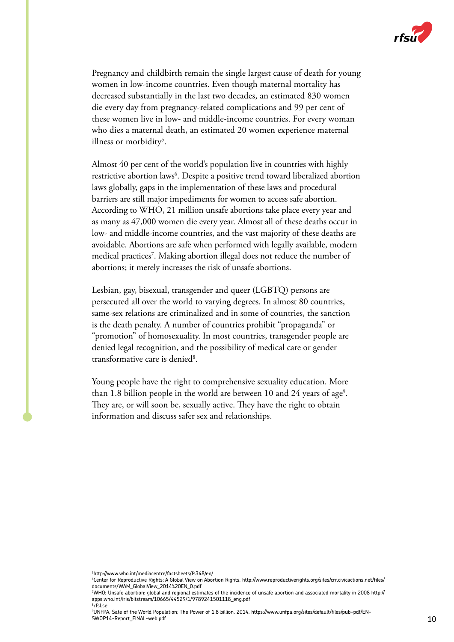

Pregnancy and childbirth remain the single largest cause of death for young women in low-income countries. Even though maternal mortality has decreased substantially in the last two decades, an estimated 830 women die every day from pregnancy-related complications and 99 per cent of these women live in low- and middle-income countries. For every woman who dies a maternal death, an estimated 20 women experience maternal illness or morbidity<sup>5</sup>.

Almost 40 per cent of the world's population live in countries with highly restrictive abortion laws<sup>6</sup>. Despite a positive trend toward liberalized abortion laws globally, gaps in the implementation of these laws and procedural barriers are still major impediments for women to access safe abortion. According to WHO, 21 million unsafe abortions take place every year and as many as 47,000 women die every year. Almost all of these deaths occur in low- and middle-income countries, and the vast majority of these deaths are avoidable. Abortions are safe when performed with legally available, modern medical practices7 . Making abortion illegal does not reduce the number of abortions; it merely increases the risk of unsafe abortions.

Lesbian, gay, bisexual, transgender and queer (LGBTQ) persons are persecuted all over the world to varying degrees. In almost 80 countries, same-sex relations are criminalized and in some of countries, the sanction is the death penalty. A number of countries prohibit "propaganda" or "promotion" of homosexuality. In most countries, transgender people are denied legal recognition, and the possibility of medical care or gender transformative care is denied<sup>8</sup>.

Young people have the right to comprehensive sexuality education. More than 1.8 billion people in the world are between 10 and 24 years of age<sup>9</sup>. They are, or will soon be, sexually active. They have the right to obtain information and discuss safer sex and relationships.

<sup>5</sup> http://www.who.int/mediacentre/factsheets/fs348/en/

<sup>6</sup> Center for Reproductive Rights: A Global View on Abortion Rights. http://www.reproductiverights.org/sites/crr.civicactions.net/files/ documents/WAM\_GlobalView\_2014%20EN\_0.pdf

<sup>7</sup> WHO; Unsafe abortion: global and regional estimates of the incidence of unsafe abortion and associated mortality in 2008 http:// apps.who.int/iris/bitstream/10665/44529/1/9789241501118\_eng.pdf 8 rfsl.se

<sup>9</sup> UNFPA, Sate of the World Population; The Power of 1.8 billion, 2014, https://www.unfpa.org/sites/default/files/pub-pdf/EN-SWOP14-Report\_FINAL-web.pdf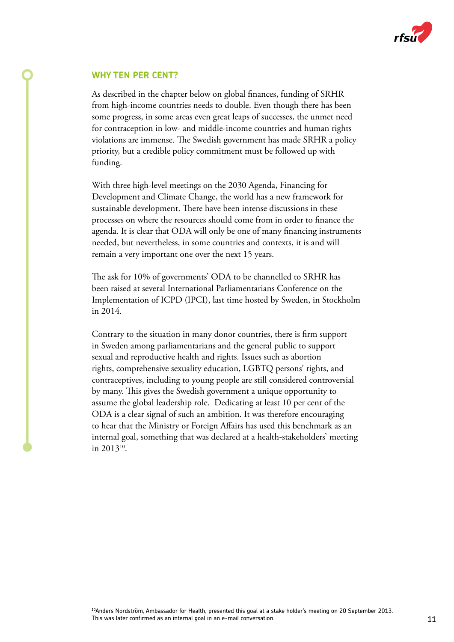

#### **WHY TEN PER CENT?**

As described in the chapter below on global finances, funding of SRHR from high-income countries needs to double. Even though there has been some progress, in some areas even great leaps of successes, the unmet need for contraception in low- and middle-income countries and human rights violations are immense. The Swedish government has made SRHR a policy priority, but a credible policy commitment must be followed up with funding.

With three high-level meetings on the 2030 Agenda, Financing for Development and Climate Change, the world has a new framework for sustainable development. There have been intense discussions in these processes on where the resources should come from in order to finance the agenda. It is clear that ODA will only be one of many financing instruments needed, but nevertheless, in some countries and contexts, it is and will remain a very important one over the next 15 years.

The ask for 10% of governments' ODA to be channelled to SRHR has been raised at several International Parliamentarians Conference on the Implementation of ICPD (IPCI), last time hosted by Sweden, in Stockholm in 2014.

Contrary to the situation in many donor countries, there is firm support in Sweden among parliamentarians and the general public to support sexual and reproductive health and rights. Issues such as abortion rights, comprehensive sexuality education, LGBTQ persons' rights, and contraceptives, including to young people are still considered controversial by many. This gives the Swedish government a unique opportunity to assume the global leadership role. Dedicating at least 10 per cent of the ODA is a clear signal of such an ambition. It was therefore encouraging to hear that the Ministry or Foreign Affairs has used this benchmark as an internal goal, something that was declared at a health-stakeholders' meeting in  $2013^{10}$ .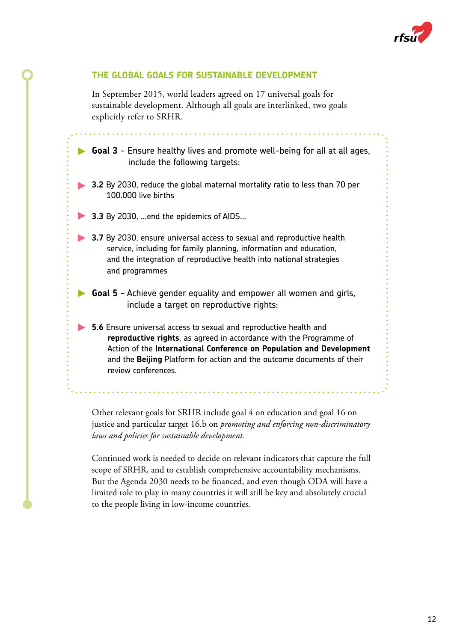

# **THE GLOBAL GOALS FOR SUSTAINABLE DEVELOPMENT**

In September 2015, world leaders agreed on 17 universal goals for sustainable development. Although all goals are interlinked, two goals explicitly refer to SRHR.

**Goal 3** - Ensure healthy lives and promote well-being for all at all ages, include the following targets:

- **3.2** By 2030, reduce the global maternal mortality ratio to less than 70 per 100.000 live births
- **3.3** By 2030, …end the epidemics of AIDS…
- **3.7** By 2030, ensure universal access to sexual and reproductive health service, including for family planning, information and education, and the integration of reproductive health into national strategies and programmes
- $\blacktriangleright$ **Goal 5** - Achieve gender equality and empower all women and girls, include a target on reproductive rights:
	- **5.6** Ensure universal access to sexual and reproductive health and **reproductive rights**, as agreed in accordance with the Programme of Action of the **International Conference on Population and Development**  and the **Beijing** Platform for action and the outcome documents of their review conferences.

Other relevant goals for SRHR include goal 4 on education and goal 16 on justice and particular target 16.b on *promoting and enforcing non-discriminatory laws and policies for sustainable development.*

Continued work is needed to decide on relevant indicators that capture the full scope of SRHR, and to establish comprehensive accountability mechanisms. But the Agenda 2030 needs to be financed, and even though ODA will have a limited role to play in many countries it will still be key and absolutely crucial to the people living in low-income countries.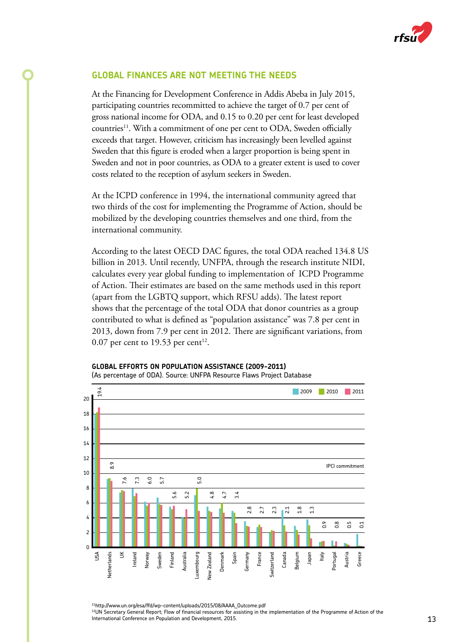

# **GLOBAL FINANCES ARE NOT MEETING THE NEEDS**

At the Financing for Development Conference in Addis Abeba in July 2015, participating countries recommitted to achieve the target of 0.7 per cent of gross national income for ODA, and 0.15 to 0.20 per cent for least developed countries<sup>11</sup>. With a commitment of one per cent to ODA, Sweden officially exceeds that target. However, criticism has increasingly been levelled against Sweden that this figure is eroded when a larger proportion is being spent in Sweden and not in poor countries, as ODA to a greater extent is used to cover costs related to the reception of asylum seekers in Sweden.

At the ICPD conference in 1994, the international community agreed that two thirds of the cost for implementing the Programme of Action, should be mobilized by the developing countries themselves and one third, from the international community.

According to the latest OECD DAC figures, the total ODA reached 134.8 US billion in 2013. Until recently, UNFPA, through the research institute NIDI, calculates every year global funding to implementation of ICPD Programme of Action. Their estimates are based on the same methods used in this report (apart from the LGBTQ support, which RFSU adds). The latest report shows that the percentage of the total ODA that donor countries as a group contributed to what is defined as "population assistance" was 7.8 per cent in 2013, down from 7.9 per cent in 2012. There are significant variations, from 0.07 per cent to 19.53 per cent<sup>12</sup>.



#### **GLOBAL EFFORTS ON POPULATION ASSISTANCE (2009-2011)** (As percentage of ODA). Source: UNFPA Resource Flaws Project Database

11http://www.un.org/esa/ffd/wp-content/uploads/2015/08/AAAA\_Outcome.pdf <sup>12</sup>UN Secretary General Report; Flow of financial resources for assisting in the implementation of the Programme of Action of the<br>International Conference on Population and Development, 2015.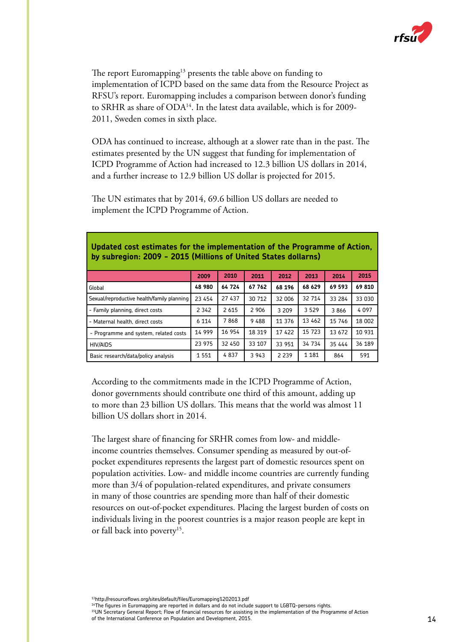

The report Euromapping<sup>13</sup> presents the table above on funding to implementation of ICPD based on the same data from the Resource Project as RFSU's report. Euromapping includes a comparison between donor's funding to SRHR as share of ODA14. In the latest data available, which is for 2009- 2011, Sweden comes in sixth place.

ODA has continued to increase, although at a slower rate than in the past. The estimates presented by the UN suggest that funding for implementation of ICPD Programme of Action had increased to 12.3 billion US dollars in 2014, and a further increase to 12.9 billion US dollar is projected for 2015.

The UN estimates that by 2014, 69.6 billion US dollars are needed to implement the ICPD Programme of Action.

|                                            | 2009    | 2010    | 2011    | 2012    | 2013    | 2014   | 2015   |
|--------------------------------------------|---------|---------|---------|---------|---------|--------|--------|
| Global                                     | 48 980  | 64 724  | 67 762  | 68 196  | 68 629  | 69 593 | 69810  |
| Sexual/reproductive health/family planning | 23 454  | 27 437  | 30 712  | 32 006  | 32 714  | 33 284 | 33 030 |
| - Family planning, direct costs            | 2 3 4 2 | 2 6 1 5 | 2 9 0 6 | 3 2 0 9 | 3 5 2 9 | 3866   | 4097   |
| - Maternal health, direct costs            | 6 1 1 4 | 7868    | 9488    | 11 376  | 13 462  | 15 746 | 18 002 |
| - Programme and system, related costs      | 14 999  | 16 954  | 18 3 19 | 17422   | 15 7 23 | 13 672 | 10 931 |
| <b>HIV/AIDS</b>                            | 23 975  | 32 450  | 33 107  | 33 951  | 34 734  | 35 444 | 36 189 |
| Basic research/data/policy analysis        | 1551    | 4837    | 3 9 4 3 | 2 2 3 9 | 1 1 8 1 | 864    | 591    |

#### **Updated cost estimates for the implementation of the Programme of Action, by subregion: 2009 - 2015 (Millions of United States dollarns)**

According to the commitments made in the ICPD Programme of Action, donor governments should contribute one third of this amount, adding up to more than 23 billion US dollars. This means that the world was almost 11 billion US dollars short in 2014.

The largest share of financing for SRHR comes from low- and middleincome countries themselves. Consumer spending as measured by out-ofpocket expenditures represents the largest part of domestic resources spent on population activities. Low- and middle income countries are currently funding more than 3/4 of population-related expenditures, and private consumers in many of those countries are spending more than half of their domestic resources on out-of-pocket expenditures. Placing the largest burden of costs on individuals living in the poorest countries is a major reason people are kept in or fall back into poverty<sup>15</sup>.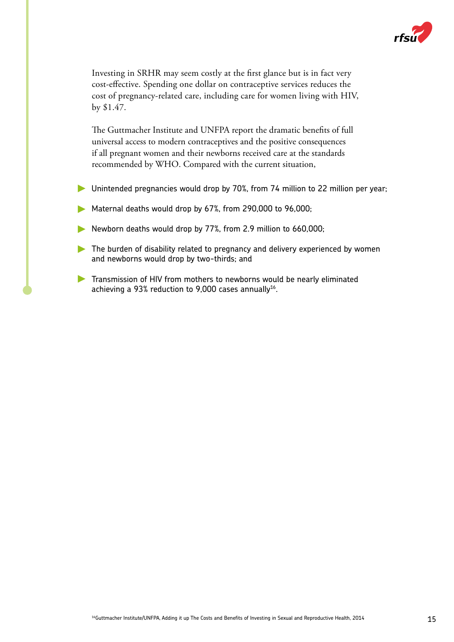

Investing in SRHR may seem costly at the first glance but is in fact very cost-effective. Spending one dollar on contraceptive services reduces the cost of pregnancy-related care, including care for women living with HIV, by \$1.47.

The Guttmacher Institute and UNFPA report the dramatic benefits of full universal access to modern contraceptives and the positive consequences if all pregnant women and their newborns received care at the standards recommended by WHO. Compared with the current situation,

- Unintended pregnancies would drop by 70%, from 74 million to 22 million per year;
- Maternal deaths would drop by 67%, from 290,000 to 96,000;
- Newborn deaths would drop by 77%, from 2.9 million to 660,000;
- The burden of disability related to pregnancy and delivery experienced by women and newborns would drop by two-thirds; and
- Transmission of HIV from mothers to newborns would be nearly eliminated achieving a 93% reduction to 9,000 cases annually<sup>16</sup>.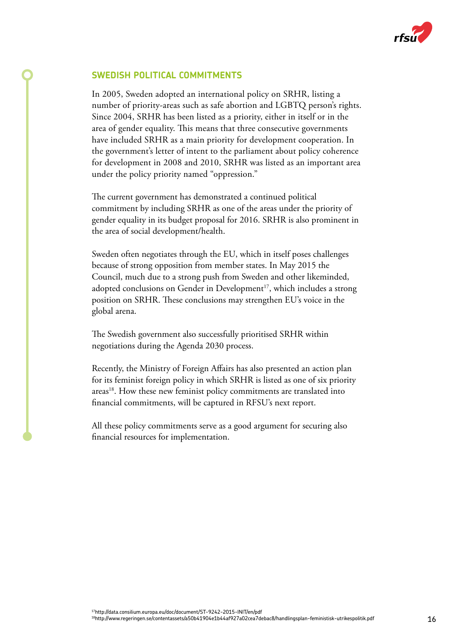

# **SWEDISH POLITICAL COMMITMENTS**

In 2005, Sweden adopted an international policy on SRHR, listing a number of priority-areas such as safe abortion and LGBTQ person's rights. Since 2004, SRHR has been listed as a priority, either in itself or in the area of gender equality. This means that three consecutive governments have included SRHR as a main priority for development cooperation. In the government's letter of intent to the parliament about policy coherence for development in 2008 and 2010, SRHR was listed as an important area under the policy priority named "oppression."

The current government has demonstrated a continued political commitment by including SRHR as one of the areas under the priority of gender equality in its budget proposal for 2016. SRHR is also prominent in the area of social development/health.

Sweden often negotiates through the EU, which in itself poses challenges because of strong opposition from member states. In May 2015 the Council, much due to a strong push from Sweden and other likeminded, adopted conclusions on Gender in Development<sup>17</sup>, which includes a strong position on SRHR. These conclusions may strengthen EU's voice in the global arena.

The Swedish government also successfully prioritised SRHR within negotiations during the Agenda 2030 process.

Recently, the Ministry of Foreign Affairs has also presented an action plan for its feminist foreign policy in which SRHR is listed as one of six priority areas<sup>18</sup>. How these new feminist policy commitments are translated into financial commitments, will be captured in RFSU's next report.

All these policy commitments serve as a good argument for securing also financial resources for implementation.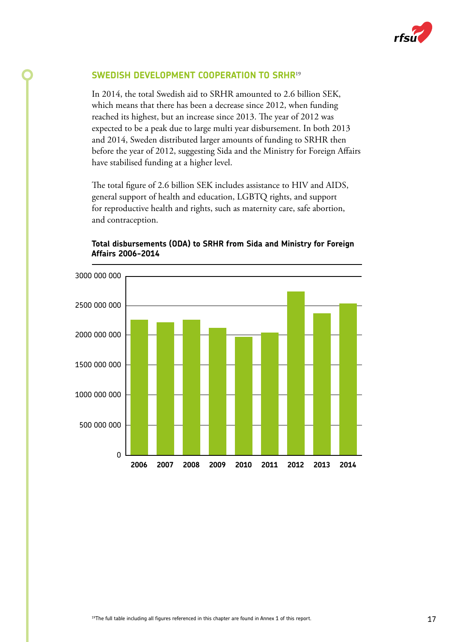![](_page_16_Picture_0.jpeg)

# **SWEDISH DEVELOPMENT COOPERATION TO SRHR**<sup>19</sup>

In 2014, the total Swedish aid to SRHR amounted to 2.6 billion SEK, which means that there has been a decrease since 2012, when funding reached its highest, but an increase since 2013. The year of 2012 was expected to be a peak due to large multi year disbursement. In both 2013 and 2014, Sweden distributed larger amounts of funding to SRHR then before the year of 2012, suggesting Sida and the Ministry for Foreign Affairs have stabilised funding at a higher level.

The total figure of 2.6 billion SEK includes assistance to HIV and AIDS, general support of health and education, LGBTQ rights, and support for reproductive health and rights, such as maternity care, safe abortion, and contraception.

![](_page_16_Figure_4.jpeg)

#### **Total disbursements (ODA) to SRHR from Sida and Ministry for Foreign Affairs 2006-2014**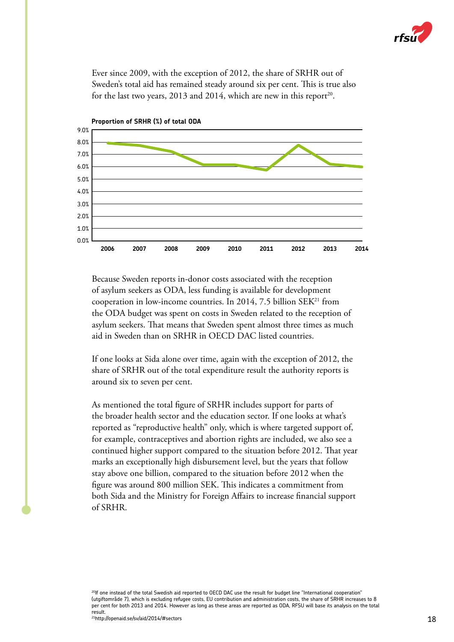![](_page_17_Picture_0.jpeg)

Ever since 2009, with the exception of 2012, the share of SRHR out of Sweden's total aid has remained steady around six per cent. This is true also for the last two years,  $2013$  and  $2014$ , which are new in this report<sup>20</sup>.

![](_page_17_Figure_2.jpeg)

Because Sweden reports in-donor costs associated with the reception of asylum seekers as ODA, less funding is available for development cooperation in low-income countries. In 2014, 7.5 billion  $SEK<sup>21</sup>$  from the ODA budget was spent on costs in Sweden related to the reception of asylum seekers. That means that Sweden spent almost three times as much aid in Sweden than on SRHR in OECD DAC listed countries.

If one looks at Sida alone over time, again with the exception of 2012, the share of SRHR out of the total expenditure result the authority reports is around six to seven per cent.

As mentioned the total figure of SRHR includes support for parts of the broader health sector and the education sector. If one looks at what's reported as "reproductive health" only, which is where targeted support of, for example, contraceptives and abortion rights are included, we also see a continued higher support compared to the situation before 2012. That year marks an exceptionally high disbursement level, but the years that follow stay above one billion, compared to the situation before 2012 when the figure was around 800 million SEK. This indicates a commitment from both Sida and the Ministry for Foreign Affairs to increase financial support of SRHR.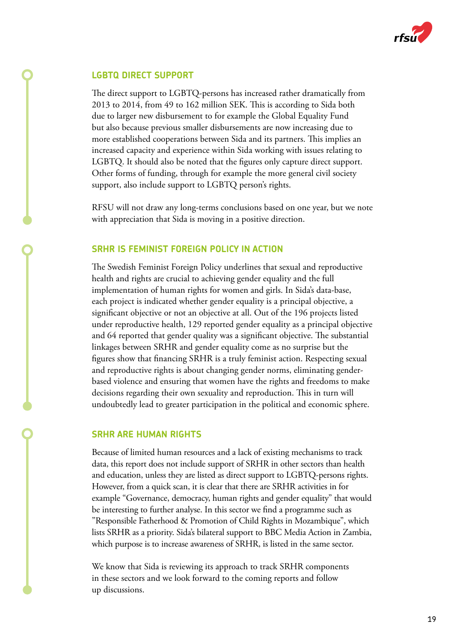![](_page_18_Picture_0.jpeg)

# **LGBTQ DIRECT SUPPORT**

The direct support to LGBTQ-persons has increased rather dramatically from 2013 to 2014, from 49 to 162 million SEK. This is according to Sida both due to larger new disbursement to for example the Global Equality Fund but also because previous smaller disbursements are now increasing due to more established cooperations between Sida and its partners. This implies an increased capacity and experience within Sida working with issues relating to LGBTQ. It should also be noted that the figures only capture direct support. Other forms of funding, through for example the more general civil society support, also include support to LGBTQ person's rights.

RFSU will not draw any long-terms conclusions based on one year, but we note with appreciation that Sida is moving in a positive direction.

### **SRHR IS FEMINIST FOREIGN POLICY IN ACTION**

The Swedish Feminist Foreign Policy underlines that sexual and reproductive health and rights are crucial to achieving gender equality and the full implementation of human rights for women and girls. In Sida's data-base, each project is indicated whether gender equality is a principal objective, a significant objective or not an objective at all. Out of the 196 projects listed under reproductive health, 129 reported gender equality as a principal objective and 64 reported that gender quality was a significant objective. The substantial linkages between SRHR and gender equality come as no surprise but the figures show that financing SRHR is a truly feminist action. Respecting sexual and reproductive rights is about changing gender norms, eliminating genderbased violence and ensuring that women have the rights and freedoms to make decisions regarding their own sexuality and reproduction. This in turn will undoubtedly lead to greater participation in the political and economic sphere.

#### **SRHR ARE HUMAN RIGHTS**

Because of limited human resources and a lack of existing mechanisms to track data, this report does not include support of SRHR in other sectors than health and education, unless they are listed as direct support to LGBTQ-persons rights. However, from a quick scan, it is clear that there are SRHR activities in for example "Governance, democracy, human rights and gender equality" that would be interesting to further analyse. In this sector we find a programme such as "Responsible Fatherhood & Promotion of Child Rights in Mozambique", which lists SRHR as a priority. Sida's bilateral support to BBC Media Action in Zambia, which purpose is to increase awareness of SRHR, is listed in the same sector.

We know that Sida is reviewing its approach to track SRHR components in these sectors and we look forward to the coming reports and follow up discussions.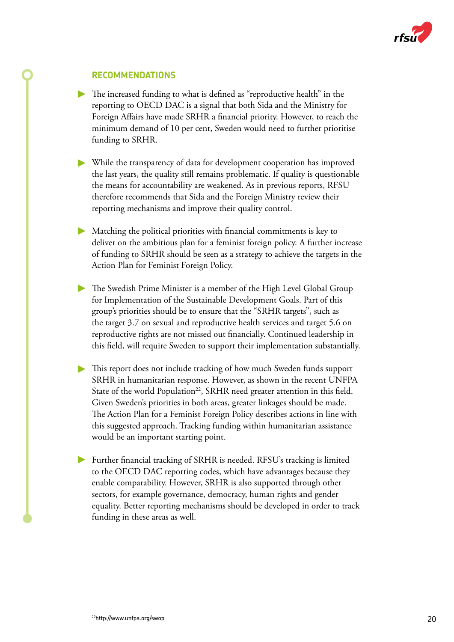![](_page_19_Picture_0.jpeg)

# **RECOMMENDATIONS**

- The increased funding to what is defined as "reproductive health" in the reporting to OECD DAC is a signal that both Sida and the Ministry for Foreign Affairs have made SRHR a financial priority. However, to reach the minimum demand of 10 per cent, Sweden would need to further prioritise funding to SRHR.
- While the transparency of data for development cooperation has improved the last years, the quality still remains problematic. If quality is questionable the means for accountability are weakened. As in previous reports, RFSU therefore recommends that Sida and the Foreign Ministry review their reporting mechanisms and improve their quality control.
- Matching the political priorities with financial commitments is key to deliver on the ambitious plan for a feminist foreign policy. A further increase of funding to SRHR should be seen as a strategy to achieve the targets in the Action Plan for Feminist Foreign Policy.
- The Swedish Prime Minister is a member of the High Level Global Group for Implementation of the Sustainable Development Goals. Part of this group's priorities should be to ensure that the "SRHR targets", such as the target 3.7 on sexual and reproductive health services and target 5.6 on reproductive rights are not missed out financially. Continued leadership in this field, will require Sweden to support their implementation substantially.
- This report does not include tracking of how much Sweden funds support SRHR in humanitarian response. However, as shown in the recent UNFPA State of the world Population<sup>22</sup>, SRHR need greater attention in this field. Given Sweden's priorities in both areas, greater linkages should be made. The Action Plan for a Feminist Foreign Policy describes actions in line with this suggested approach. Tracking funding within humanitarian assistance would be an important starting point.
- Further financial tracking of SRHR is needed. RFSU's tracking is limited to the OECD DAC reporting codes, which have advantages because they enable comparability. However, SRHR is also supported through other sectors, for example governance, democracy, human rights and gender equality. Better reporting mechanisms should be developed in order to track funding in these areas as well.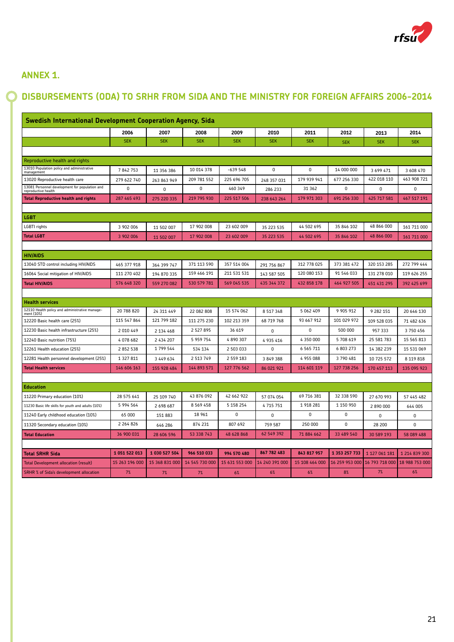![](_page_20_Picture_0.jpeg)

# **ANNEX 1.**

# **DISBURSEMENTS (ODA) TO SRHR FROM SIDA AND THE MINISTRY FOR FOREIGN AFFAIRS 2006-2014**

| Swedish International Development Cooperation Agency, Sida            |                |                |                |                |                |                |                |                |                |
|-----------------------------------------------------------------------|----------------|----------------|----------------|----------------|----------------|----------------|----------------|----------------|----------------|
|                                                                       | 2006           | 2007           | 2008           | 2009           | 2010           | 2011           | 2012           | 2013           | 2014           |
|                                                                       | <b>SEK</b>     | <b>SEK</b>     | <b>SEK</b>     | <b>SEK</b>     | <b>SEK</b>     | <b>SEK</b>     | <b>SEK</b>     | <b>SEK</b>     | <b>SEK</b>     |
|                                                                       |                |                |                |                |                |                |                |                |                |
| Reproductive health and rights                                        |                |                |                |                |                |                |                |                |                |
| 13010 Population policy and administrative<br>management              | 7842753        | 11 356 386     | 10 014 378     | $-639548$      | 0              | $\mathbf 0$    | 14 000 000     | 3 699 471      | 3 608 470      |
| 13020 Reproductive health care                                        | 279 622 740    | 263 863 949    | 209 781 552    | 225 696 705    | 248 357 031    | 179 939 941    | 677 256 330    | 422 018 110    | 463 908 721    |
| 13081 Personnel development for population and<br>reproductive health | 0              | 0              | 0              | 460 349        | 286 233        | 31 362         | $\Omega$       | $\mathbf 0$    | $\mathbf 0$    |
| <b>Total Reproductive health and rights</b>                           | 287 465 493    | 275 220 335    | 219 795 930    | 225 517 506    | 238 643 264    | 179 971 303    | 691 256 330    | 425 717 581    | 467 517 191    |
|                                                                       |                |                |                |                |                |                |                |                |                |
| <b>LGBT</b>                                                           |                |                |                |                |                |                |                |                |                |
| LGBTI rights                                                          | 3 902 006      | 11 502 007     | 17 902 008     | 23 602 009     | 35 223 535     | 44 502 695     | 35 846 102     | 48 866 000     | 161 711 000    |
| <b>Total LGBT</b>                                                     | 3 902 006      | 11 502 007     | 17 902 008     | 23 602 009     | 35 223 535     | 44 502 695     | 35 846 102     | 48 866 000     | 161 711 000    |
|                                                                       |                |                |                |                |                |                |                |                |                |
| <b>HIV/AIDS</b>                                                       |                |                |                |                |                |                |                |                |                |
| 13040 STD control including HIV/AIDS                                  | 465 377 918    | 364 399 747    | 371 113 590    | 357 514 004    | 291 756 867    | 312 778 025    | 373 381 472    | 320 153 285    | 272 799 444    |
| 16064 Social mitigation of HIV/AIDS                                   | 111 270 402    | 194 870 335    | 159 466 191    | 211 531 531    | 143 587 505    | 120 080 153    | 91 546 033     | 131 278 010    | 119 626 255    |
| <b>Total HIV/AIDS</b>                                                 | 576 648 320    | 559 270 082    | 530 579 781    | 569 045 535    | 435 344 372    | 432 858 178    | 464 927 505    | 451 431 295    | 392 425 699    |
|                                                                       |                |                |                |                |                |                |                |                |                |
| <b>Health services</b>                                                |                |                |                |                |                |                |                |                |                |
| 12110 Health policy and administrative manage-<br>ment (10%)          | 20 788 820     | 24 311 449     | 22 082 808     | 15 574 062     | 8 5 1 7 3 4 8  | 5 062 409      | 9 905 912      | 9 282 151      | 20 646 130     |
| 12220 Basic health care (25%)                                         | 115 547 864    | 121 799 182    | 111 275 230    | 102 213 359    | 68 719 768     | 93 667 912     | 101 029 972    | 109 528 035    | 71 482 636     |
| 12230 Basic health infrastructure (25%)                               | 2 010 449      | 2 134 468      | 2 5 2 7 8 9 5  | 36 619         | 0              | $\Omega$       | 500 000        | 957 333        | 3750456        |
| 12240 Basic nutrition (75%)                                           | 4 078 682      | 2 434 207      | 5 959 754      | 4890307        | 4 935 416      | 4 350 000      | 5 708 619      | 25 581 783     | 15 565 813     |
| 12261 Health education (25%)                                          | 2 852 538      | 1 799 544      | 534 134        | 2 503 033      | 0              | 6 5 6 5 7 1 1  | 6 803 273      | 14 382 239     | 15 531 069     |
| 12281 Health personnel development (25%)                              | 1 327 811      | 3 449 634      | 2 5 13 7 49    | 2 559 183      | 3 849 388      | 4 955 088      | 3790481        | 10 725 572     | 8 119 818      |
| <b>Total Health services</b>                                          | 146 606 163    | 155 928 484    | 144 893 571    | 127 776 562    | 86 021 921     | 114 601 119    | 127 738 256    | 170 457 113    | 135 095 923    |
|                                                                       |                |                |                |                |                |                |                |                |                |
| <b>Education</b>                                                      |                |                |                |                |                |                |                |                |                |
| 11220 Primary education (10%)                                         | 28 575 641     | 25 109 740     | 43 876 092     | 42 662 922     | 57 074 054     | 69 716 381     | 32 338 590     | 27 670 993     | 57 445 482     |
| 11230 Basic life skills for youth and adults (10%)                    | 5 994 564      | 2 698 687      | 8 5 6 9 4 5 8  | 5 158 254      | 4715751        | 1 918 281      | 1 150 950      | 2 890 000      | 644 005        |
| 11240 Early childhood education (10%)                                 | 65 000         | 151 883        | 18 961         | 0              | 0              | $\mathbf 0$    | $\mathbf 0$    | 0              | 0              |
| 11320 Secondary education (10%)                                       | 2 2 6 4 8 2 6  | 646 286        | 874 231        | 807 692        | 759 587        | 250 000        | 0              | 28 200         | 0              |
| <b>Total Education</b>                                                | 36 900 031     | 28 606 596     | 53 338 743     | 48 628 868     | 62 549 392     | 71 884 662     | 33 489 540     | 30 589 193     | 58 089 488     |
|                                                                       |                |                |                |                |                |                |                |                |                |
| <b>Total SRHR Sida</b>                                                | 1 051 522 013  | 1 030 527 504  | 966 510 033    | 994 570 480    | 867 782 483    | 843 817 957    | 1 353 257 733  | 1 127 061 181  | 1 214 839 300  |
| Total Development allocation (result)                                 | 15 263 196 000 | 15 368 831 000 | 14 545 730 000 | 15 631 553 000 | 14 240 391 000 | 15 108 464 000 | 16 259 953 000 | 16 793 718 000 | 18 988 753 000 |
| <b>SRHR % of Sida's development allocation</b>                        | 7%             | 7%             | 7%             | 6%             | 6%             | 6%             | 8%             | 7%             | 6%             |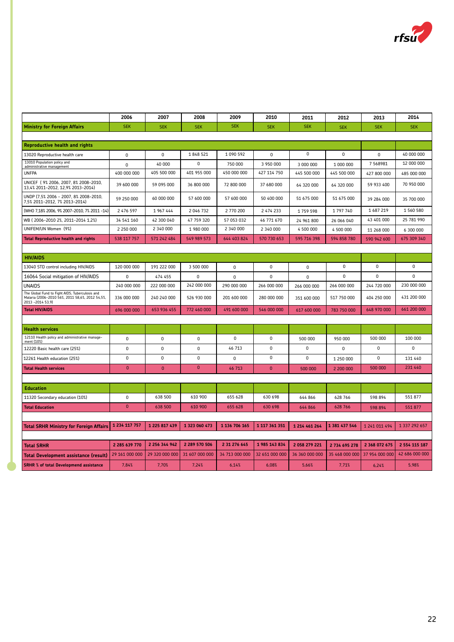![](_page_21_Picture_0.jpeg)

|                                                                                                                         | 2006           | 2007           | 2008           | 2009           | 2010           | 2011           | 2012           | 2013           | 2014           |
|-------------------------------------------------------------------------------------------------------------------------|----------------|----------------|----------------|----------------|----------------|----------------|----------------|----------------|----------------|
| <b>Ministry for Foreign Affairs</b>                                                                                     | <b>SEK</b>     | <b>SEK</b>     | <b>SEK</b>     | <b>SEK</b>     | <b>SEK</b>     | <b>SEK</b>     | <b>SEK</b>     | <b>SEK</b>     | <b>SEK</b>     |
|                                                                                                                         |                |                |                |                |                |                |                |                |                |
| Reproductive health and rights                                                                                          |                |                |                |                |                |                |                |                |                |
| 13020 Reproductive health care                                                                                          | 0              | $\mathbf 0$    | 1848521        | 1 090 592      | 0              | 0              | $\mathbf 0$    | 0              | 40 000 000     |
| 13010 Population policy and<br>administrative management                                                                | 0              | 40 000         | 0              | 750 000        | 3 950 000      | 3 000 000      | 1 000 000      | 7 5 6 8 9 8 1  | 12 000 000     |
| <b>UNFPA</b>                                                                                                            | 400 000 000    | 405 500 000    | 401 955 000    | 450 000 000    | 427 114 750    | 445 500 000    | 445 500 000    | 427 800 000    | 485 000 000    |
| UNICEF ( 9% 2006, 2007, 8% 2008-2010,<br>13,4% 2011-2012, 12,9% 2013-2014)                                              | 39 600 000     | 59 095 000     | 36 800 000     | 72 800 000     | 37 680 000     | 64 320 000     | 64 320 000     | 59 933 400     | 70 950 000     |
| UNDP (7,5% 2006 - 2007, 8% 2008-2010,<br>7,5% 2011-2012, 7% 2013-2014)                                                  | 59 250 000     | 60 000 000     | 57 600 000     | 57 600 000     | 50 400 000     | 51 675 000     | 51 675 000     | 39 284 000     | 35 700 000     |
| (WHO 7,18% 2006, 9% 2007-2010, 7% 2011 -14)                                                                             | 2 476 597      | 1967444        | 2 046 732      | 2 770 200      | 2 474 233      | 1759598        | 1797740        | 1687219        | 1 560 580      |
| WB (2006-2010 2%, 2011-2014 1,2%)                                                                                       | 34 541 160     | 42 300 040     | 47 759 320     | 57 053 032     | 46 771 670     | 24 961 800     | 26 066 040     | 43 401 000     | 25 781 990     |
| UNIFEM/UN Women (9%)                                                                                                    | 2 250 000      | 2 340 000      | 1 980 000      | 2 340 000      | 2 340 000      | 4 500 000      | 4 500 000      | 11 268 000     | 6 300 000      |
| <b>Total Reproductive health and rights</b>                                                                             | 538 117 757    | 571 242 484    | 549 989 573    | 644 403 824    | 570 730 653    | 595 716 398    | 594 858 780    | 590 942 600    | 675 309 340    |
|                                                                                                                         |                |                |                |                |                |                |                |                |                |
| <b>HIV/AIDS</b>                                                                                                         |                |                |                |                |                |                |                |                |                |
| 13040 STD control including HIV/AIDS                                                                                    | 120 000 000    | 191 222 000    | 3 500 000      | $\Omega$       | 0              | 0              | $\mathbf 0$    | 0              | 0              |
| 16064 Social mitigation of HIV/AIDS                                                                                     | 0              | 474 455        | 0              | 0              | $\mathbf{0}$   | 0              | 0              | 0              | 0              |
| <b>UNAIDS</b>                                                                                                           | 240 000 000    | 222 000 000    | 242 000 000    | 290 000 000    | 266 000 000    | 266 000 000    | 266 000 000    | 244 720 000    | 230 000 000    |
| The Global Fund to Fight AIDS, Tuberculosis and<br>Malaria (2006-2010 56%, 2011 58,6%, 2012 54,5%,<br>2013 - 2014 53,9) | 336 000 000    | 240 240 000    | 526 930 000    | 201 600 000    | 280 000 000    | 351 600 000    | 517 750 000    | 404 250 000    | 431 200 000    |
| <b>Total HIV/AIDS</b>                                                                                                   | 696 000 000    | 653 936 455    | 772 460 000    | 491 600 000    | 546 000 000    | 617 600 000    | 783 750 000    | 648 970 000    | 661 200 000    |
|                                                                                                                         |                |                |                |                |                |                |                |                |                |
| <b>Health services</b>                                                                                                  |                |                |                |                |                |                |                |                |                |
| 12110 Health policy and administrative manage-<br>ment (10%)                                                            | $\mathbf{0}$   | $\Omega$       | 0              | 0              | 0              | 500 000        | 950 000        | 500 000        | 100 000        |
| 12220 Basic health care (25%)                                                                                           | $\mathbf 0$    | 0              | $\mathbf 0$    | 46 713         | 0              | 0              | $\Omega$       | 0              | 0              |
| 12261 Health education (25%)                                                                                            | $\mathbf 0$    | 0              | $\mathbf 0$    | 0              | 0              | 0              | 1 250 000      | 0              | 131 440        |
| <b>Total Health services</b>                                                                                            | $\Omega$       | $\theta$       | $\mathbf{0}$   | 46 713         | $\Omega$       | 500 000        | 2 200 000      | 500 000        | 231 440        |
|                                                                                                                         |                |                |                |                |                |                |                |                |                |
| <b>Education</b>                                                                                                        |                |                |                |                |                |                |                |                |                |
| 11320 Secondary education (10%)                                                                                         | 0              | 638 500        | 610 900        | 655 628        | 630 698        | 644 866        | 628 766        | 598 894        | 551877         |
| <b>Total Education</b>                                                                                                  | $\mathbf{0}$   | 638 500        | 610 900        | 655 628        | 630 698        | 644 866        | 628 766        | 598 894        | 551 877        |
|                                                                                                                         |                |                |                |                |                |                |                |                |                |
| <b>Total SRHR Ministry for Foreign Affairs</b>                                                                          | 1 234 117 757  | 1 225 817 439  | 1 323 060 473  | 1 136 706 165  | 1 117 361 351  | 1 214 461 264  | 1 381 437 546  | 1 241 011 494  | 1 337 292 657  |
|                                                                                                                         |                |                |                |                |                |                |                |                |                |
| <b>Total SRHR</b>                                                                                                       | 2 285 639 770  | 2 256 344 942  | 2 289 570 506  | 2 31 276 645   | 1985 143 834   | 2 058 279 221  | 2 734 695 278  | 2 368 072 675  | 2 554 115 187  |
| Total Development assistance (result)                                                                                   | 29 161 000 000 | 29 320 000 000 | 31 607 000 000 | 34 713 000 000 | 32 651 000 000 | 36 360 000 000 | 35 468 000 000 | 37 954 000 000 | 42 686 000 000 |
| <b>SRHR</b> % of total Developmend assistance                                                                           | 7.84%          | 7.70%          | 7.24%          | 6.14%          | 6.08%          | 5.66%          | 7.71%          | 6,24%          | 5.98%          |
|                                                                                                                         |                |                |                |                |                |                |                |                |                |